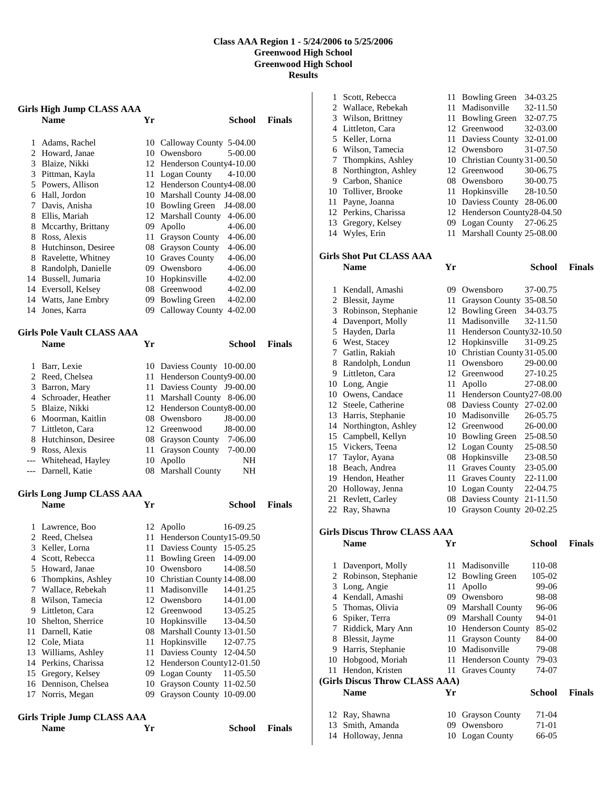## **Class AAA Region 1 - 5/24/2006 to 5/25/2006 Greenwood High School Greenwood High School Results**

| <b>Girls High Jump CLASS AAA</b> |                                    |      |                                  |               |  |
|----------------------------------|------------------------------------|------|----------------------------------|---------------|--|
|                                  | <b>Name</b>                        | Yr   | School                           | <b>Finals</b> |  |
|                                  |                                    |      |                                  |               |  |
|                                  | 1 Adams, Rachel                    |      | 10 Calloway County 5-04.00       |               |  |
|                                  | 2 Howard, Janae                    |      | 10 Owensboro<br>5-00.00          |               |  |
|                                  | 3 Blaize, Nikki                    |      | 12 Henderson County4-10.00       |               |  |
|                                  | 3 Pittman, Kayla                   |      | 11 Logan County<br>4-10.00       |               |  |
|                                  | 5 Powers, Allison                  |      | 12 Henderson County4-08.00       |               |  |
|                                  | 6 Hall, Jordon                     |      | 10 Marshall County J4-08.00      |               |  |
|                                  | 7 Davis, Anisha                    |      | 10 Bowling Green<br>J4-08.00     |               |  |
|                                  | 8 Ellis, Mariah                    |      | 12 Marshall County<br>4-06.00    |               |  |
|                                  | 8 Mccarthy, Brittany               |      | 09 Apollo<br>4-06.00             |               |  |
|                                  | 8 Ross, Alexis                     |      | 11 Grayson County<br>4-06.00     |               |  |
|                                  | 8 Hutchinson, Desiree              |      | 08 Grayson County<br>4-06.00     |               |  |
|                                  | 8 Ravelette, Whitney               |      | 10 Graves County<br>4-06.00      |               |  |
|                                  | 8 Randolph, Danielle               |      | 09 Owensboro<br>4-06.00          |               |  |
|                                  | 14 Bussell, Jumaria                |      | 10 Hopkinsville<br>4-02.00       |               |  |
|                                  | 14 Eversoll, Kelsey                |      | 08 Greenwood<br>4-02.00          |               |  |
|                                  | 14 Watts, Jane Embry               |      | 09 Bowling Green<br>4-02.00      |               |  |
|                                  | 14 Jones, Karra                    |      | 09 Calloway County 4-02.00       |               |  |
|                                  | <b>Girls Pole Vault CLASS AAA</b>  |      |                                  |               |  |
|                                  | <b>Name</b>                        | Yr   | School                           | <b>Finals</b> |  |
|                                  |                                    |      |                                  |               |  |
|                                  | 1 Barr, Lexie                      |      | 10 Daviess County 10-00.00       |               |  |
|                                  | 2 Reed, Chelsea                    |      | 11 Henderson County9-00.00       |               |  |
|                                  | 3 Barron, Mary                     |      | 11 Daviess County J9-00.00       |               |  |
|                                  | 4 Schroader, Heather               |      | 11 Marshall County 8-06.00       |               |  |
|                                  | 5 Blaize, Nikki                    |      | 12 Henderson County8-00.00       |               |  |
|                                  | 6 Moorman, Kaitlin                 |      | 08 Owensboro<br>J8-00.00         |               |  |
|                                  | 7 Littleton, Cara                  |      | 12 Greenwood<br>J8-00.00         |               |  |
|                                  | 8 Hutchinson, Desiree              |      | 08 Grayson County 7-06.00        |               |  |
|                                  | 9 Ross, Alexis                     | 11   | <b>Grayson County</b><br>7-00.00 |               |  |
|                                  | --- Whitehead, Hayley              | 10   | Apollo<br>NH                     |               |  |
|                                  | --- Darnell, Katie                 |      | 08 Marshall County<br>NH         |               |  |
|                                  |                                    |      |                                  |               |  |
|                                  | <b>Girls Long Jump CLASS AAA</b>   |      |                                  |               |  |
|                                  | <b>Name</b>                        | Yr   | School                           | <b>Finals</b> |  |
| 1                                | Lawrence, Boo                      |      | 12 Apollo<br>16-09.25            |               |  |
|                                  | 2 Reed, Chelsea                    | 11 - | Henderson County15-09.50         |               |  |
| 3                                | Keller, Lorna                      | 11   | Daviess County<br>15-05.25       |               |  |
| 4                                | Scott, Rebecca                     | 11   | <b>Bowling Green</b><br>14-09.00 |               |  |
|                                  | 5 Howard, Janae                    |      | 10 Owensboro<br>14-08.50         |               |  |
| 6                                | Thompkins, Ashley                  |      | 10 Christian County 14-08.00     |               |  |
| 7                                | Wallace, Rebekah                   | 11   | Madisonville<br>14-01.25         |               |  |
|                                  | 8 Wilson, Tamecia                  |      | 12 Owensboro<br>14-01.00         |               |  |
|                                  | 9 Littleton, Cara                  |      | 12 Greenwood<br>13-05.25         |               |  |
|                                  | 10 Shelton, Sherrice               |      | 10 Hopkinsville<br>13-04.50      |               |  |
| 11                               | Darnell, Katie                     |      | 08 Marshall County 13-01.50      |               |  |
|                                  | 12 Cole, Miata                     | 11   | Hopkinsville<br>12-07.75         |               |  |
|                                  | 13 Williams, Ashley                | 11   | Daviess County 12-04.50          |               |  |
|                                  | 14 Perkins, Charissa               |      | 12 Henderson County12-01.50      |               |  |
| 15                               | Gregory, Kelsey                    | 09   | Logan County<br>11-05.50         |               |  |
|                                  | 16 Dennison, Chelsea               | 10   | Grayson County 11-02.50          |               |  |
| 17                               | Norris, Megan                      | 09   | Grayson County 10-09.00          |               |  |
|                                  |                                    |      |                                  |               |  |
|                                  | <b>Girls Triple Jump CLASS AAA</b> |      |                                  |               |  |

**Name Yr School Finals** 

| 1  | Scott, Rebecca                      |    | 11 Bowling Green             | 34-03.25      |               |
|----|-------------------------------------|----|------------------------------|---------------|---------------|
|    | 2 Wallace, Rebekah                  |    | 11 Madisonville              | 32-11.50      |               |
|    | 3 Wilson, Brittney                  |    | 11 Bowling Green             | 32-07.75      |               |
|    | 4 Littleton, Cara                   |    | 12 Greenwood                 | 32-03.00      |               |
|    | 5 Keller, Lorna                     |    | 11 Daviess County            | 32-01.00      |               |
|    | 6 Wilson, Tamecia                   |    | 12 Owensboro                 | 31-07.50      |               |
| 7  | Thompkins, Ashley                   |    | 10 Christian County 31-00.50 |               |               |
| 8  | Northington, Ashley                 |    | 12 Greenwood                 | 30-06.75      |               |
|    | 9 Carbon, Shanice                   |    | 08 Owensboro                 | 30-00.75      |               |
|    | 10 Tolliver, Brooke                 |    | 11 Hopkinsville              | 28-10.50      |               |
| 11 | Payne, Joanna                       |    | 10 Daviess County 28-06.00   |               |               |
|    | 12 Perkins, Charissa                |    | 12 Henderson County28-04.50  |               |               |
| 13 | Gregory, Kelsey                     |    | 09 Logan County              | 27-06.25      |               |
| 14 | Wyles, Erin                         | 11 | Marshall County 25-08.00     |               |               |
|    | <b>Girls Shot Put CLASS AAA</b>     |    |                              |               |               |
|    | <b>Name</b>                         | Yr |                              | School        | <b>Finals</b> |
|    |                                     |    |                              |               |               |
| 1  | Kendall, Amashi                     |    | 09 Owensboro                 | 37-00.75      |               |
| 2  | Blessit, Jayme                      |    | 11 Grayson County 35-08.50   |               |               |
| 3  | Robinson, Stephanie                 |    | 12 Bowling Green             | 34-03.75      |               |
|    | 4 Davenport, Molly                  |    | 11 Madisonville              | 32-11.50      |               |
| 5  | Hayden, Darla                       |    | 11 Henderson County32-10.50  |               |               |
|    | 6 West, Stacey                      |    | 12 Hopkinsville              | 31-09.25      |               |
|    | 7 Gatlin, Rakiah                    |    | 10 Christian County 31-05.00 |               |               |
|    | 8 Randolph, Londun                  |    | 11 Owensboro                 | 29-00.00      |               |
|    | 9 Littleton, Cara                   |    | 12 Greenwood                 | 27-10.25      |               |
|    | 10 Long, Angie                      | 11 | Apollo                       | 27-08.00      |               |
|    | 10 Owens, Candace                   |    | 11 Henderson County27-08.00  |               |               |
|    | 12 Steele, Catherine                |    | 08 Daviess County            | 27-02.00      |               |
| 13 | Harris, Stephanie                   |    | 10 Madisonville              | 26-05.75      |               |
| 14 | Northington, Ashley                 |    | 12 Greenwood                 | 26-00.00      |               |
| 15 | Campbell, Kellyn                    |    | 10 Bowling Green             | 25-08.50      |               |
| 15 | Vickers, Teena                      |    | 12 Logan County              | 25-08.50      |               |
| 17 | Taylor, Ayana                       |    | 08 Hopkinsville              | 23-08.50      |               |
| 18 | Beach, Andrea                       |    | 11 Graves County             | 23-05.00      |               |
|    | 19 Hendon, Heather                  |    | 11 Graves County             | 22-11.00      |               |
|    | 20 Holloway, Jenna                  |    | 10 Logan County              | 22-04.75      |               |
| 21 | Revlett, Carley                     |    | 08 Daviess County            | 21-11.50      |               |
|    | 22 Ray, Shawna                      |    | 10 Grayson County 20-02.25   |               |               |
|    | <b>Girls Discus Throw CLASS AAA</b> |    |                              |               |               |
|    | <b>Name</b>                         | Yr |                              | <b>School</b> | <b>Finals</b> |
|    |                                     |    |                              |               |               |
| 1  | Davenport, Molly                    | 11 | Madisonville                 | 110-08        |               |
| 2  | Robinson, Stephanie                 |    | 12 Bowling Green             | 105-02        |               |
| 3  | Long, Angie                         | 11 | Apollo                       | 99-06         |               |
|    | 4 Kendall, Amashi                   |    | 09 Owensboro                 | 98-08         |               |
|    | 5 Thomas, Olivia                    |    | 09 Marshall County           | 96-06         |               |
|    | 6 Spiker, Terra                     |    | 09 Marshall County           | 94-01         |               |
| 7  | Riddick, Mary Ann                   |    | 10 Henderson County          | 85-02         |               |
| 8  | Blessit, Jayme                      |    | 11 Grayson County            | 84-00         |               |
|    | 9 Harris, Stephanie                 |    | 10 Madisonville              | 79-08         |               |
|    | 10 Hobgood, Moriah                  |    | 11 Henderson County          | 79-03         |               |
|    | 11 Hendon, Kristen                  | 11 | <b>Graves County</b>         | 74-07         |               |
|    | (Girls Discus Throw CLASS AAA)      |    |                              |               |               |
|    | Name                                | Yr |                              | <b>School</b> | <b>Finals</b> |
|    |                                     |    |                              |               |               |

| 12 Ray, Shawna     | 10 Grayson County | 71-04 |
|--------------------|-------------------|-------|
| 13 Smith, Amanda   | 09 Owensboro      | 71-01 |
| 14 Holloway, Jenna | 10 Logan County   | 66-05 |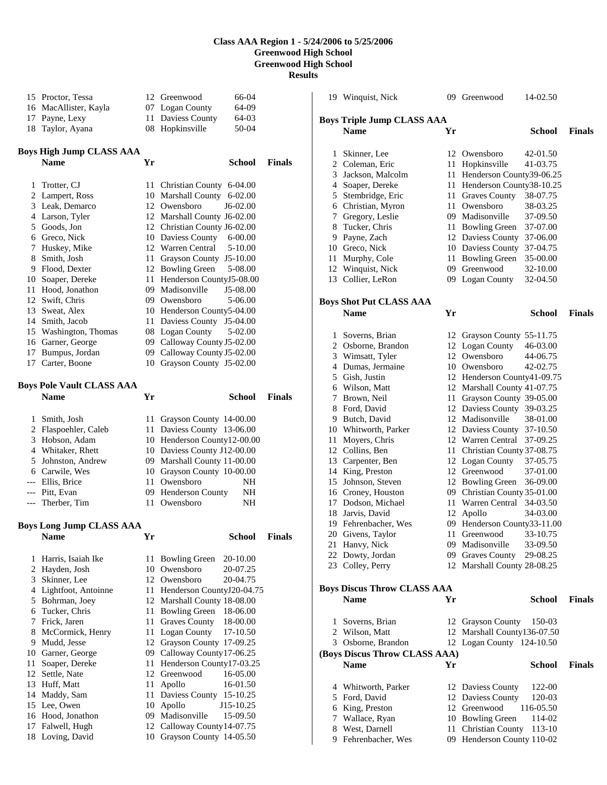## **Class AAA Region 1 - 5/24/2006 to 5/25/2006 Greenwood High School Greenwood High School Results**

 Proctor, Tessa 12 Greenwood 66-04 MacAllister, Kayla 07 Logan County 64-09 Payne, Lexy 11 Daviess County 64-03 Taylor, Ayana 08 Hopkinsville 50-04 **Boys High Jump CLASS AAA Name Yr School Finals**  1 Trotter, CJ 11 Christian County 6-04.00 Lampert, Ross 10 Marshall County 6-02.00 Leak, Demarco 12 Owensboro J6-02.00 Larson, Tyler 12 Marshall County J6-02.00 Goods, Jon 12 Christian County J6-02.00 Greco, Nick 10 Daviess County 6-00.00 Huskey, Mike 12 Warren Central 5-10.00 Smith, Josh 11 Grayson County J5-10.00 Flood, Dexter 12 Bowling Green 5-08.00 Soaper, Dereke 11 Henderson CountyJ5-08.00 Hood, Jonathon 09 Madisonville J5-08.00 Swift, Chris 09 Owensboro 5-06.00 Sweat, Alex 10 Henderson County5-04.00 Smith, Jacob 11 Daviess County J5-04.00 Washington, Thomas 08 Logan County 5-02.00 Garner, George 09 Calloway County J5-02.00 Bumpus, Jordan 09 Calloway County J5-02.00 Carter, Boone 10 Grayson County J5-02.00 **Boys Pole Vault CLASS AAA Name Yr School Finals**  Smith, Josh 11 Grayson County 14-00.00 Flaspoehler, Caleb 11 Daviess County 13-06.00 Hobson, Adam 10 Henderson County12-00.00 Whitaker, Rhett 10 Daviess County J12-00.00 Johnston, Andrew 09 Marshall County 11-00.00 Carwile, Wes 10 Grayson County 10-00.00 --- Ellis, Brice 11 Owensboro NH Pitt, Evan 09 Henderson County NH Therber, Tim 11 Owensboro NH **Boys Long Jump CLASS AAA Name Yr School Finals**  Harris, Isaiah Ike 11 Bowling Green 20-10.00 Hayden, Josh 10 Owensboro 20-07.25 Skinner, Lee 12 Owensboro 20-04.75 Lightfoot, Antoinne 11 Henderson CountyJ20-04.75 Bohrman, Joey 12 Marshall County 18-08.00 Tucker, Chris 11 Bowling Green 18-06.00 Frick, Jaren 11 Graves County 18-00.00 8 McCormick, Henry 11 Logan County 17-10.50 Mudd, Jesse 12 Grayson County 17-09.25 Garner, George 09 Calloway County17-06.25 Soaper, Dereke 11 Henderson County17-03.25 Settle, Nate 12 Greenwood 16-05.00 13 Huff, Matt 11 Apollo 16-01.50 Maddy, Sam 11 Daviess County 15-10.25 Lee, Owen 10 Apollo J15-10.25 Hood, Jonathon 09 Madisonville 15-09.50 Falwell, Hugh 12 Calloway County14-07.75 Loving, David 10 Grayson County 14-05.50 Winquist, Nick 09 Greenwood 14-02.50 **Boys Triple Jump CLASS AAA Name Yr School Finals**  Skinner, Lee 12 Owensboro 42-01.50 Coleman, Eric 11 Hopkinsville 41-03.75 Jackson, Malcolm 11 Henderson County39-06.25 Soaper, Dereke 11 Henderson County38-10.25 Stembridge, Eric 11 Graves County 38-07.75 Christian, Myron 11 Owensboro 38-03.25 Gregory, Leslie 09 Madisonville 37-09.50 Tucker, Chris 11 Bowling Green 37-07.00 Payne, Zach 12 Daviess County 37-06.00 Greco, Nick 10 Daviess County 37-04.75 Murphy, Cole 11 Bowling Green 35-00.00 Winquist, Nick 09 Greenwood 32-10.00 Collier, LeRon 09 Logan County 32-04.50 **Boys Shot Put CLASS AAA Name Yr School Finals**  1 Soverns, Brian 12 Grayson County 55-11.75<br>2 Osborne, Brandon 12 Logan County 46-03.00 Osborne, Brandon 12 Logan County 46-03.00 Wimsatt, Tyler 12 Owensboro 44-06.75 Dumas, Jermaine 10 Owensboro 42-02.75 Gish, Justin 12 Henderson County41-09.75 Wilson, Matt 12 Marshall County 41-07.75 Brown, Neil 11 Grayson County 39-05.00 Ford, David 12 Daviess County 39-03.25 Butch, David 12 Madisonville 38-01.00 Whitworth, Parker 12 Daviess County 37-10.50 Moyers, Chris 12 Warren Central 37-09.25 Collins, Ben 11 Christian County 37-08.75 Carpenter, Ben 12 Logan County 37-05.75 King, Preston 12 Greenwood 37-01.00 Johnson, Steven 12 Bowling Green 36-09.00 Croney, Houston 09 Christian County 35-01.00 Dodson, Michael 11 Warren Central 34-03.50 Jarvis, David 12 Apollo 34-03.00 Fehrenbacher, Wes 09 Henderson County33-11.00 Givens, Taylor 11 Greenwood 33-10.75 Hanvy, Nick 09 Madisonville 33-09.50 Dowty, Jordan 09 Graves County 29-08.25 Colley, Perry 12 Marshall County 28-08.25 **Boys Discus Throw CLASS AAA Name Yr School Finals**  Soverns, Brian 12 Grayson County 150-03 Wilson, Matt 12 Marshall County136-07.50 Osborne, Brandon 12 Logan County 124-10.50 **(Boys Discus Throw CLASS AAA) Name Yr School Finals**  4 Whitworth, Parker 12 Daviess County 122-00 Ford, David 12 Daviess County 120-03 6 King, Preston 12 Greenwood 7 Wallace, Ryan 10 Bowling Green 114-02 8 West, Darnell 11 Christian County 113-10 Fehrenbacher, Wes 09 Henderson County 110-02